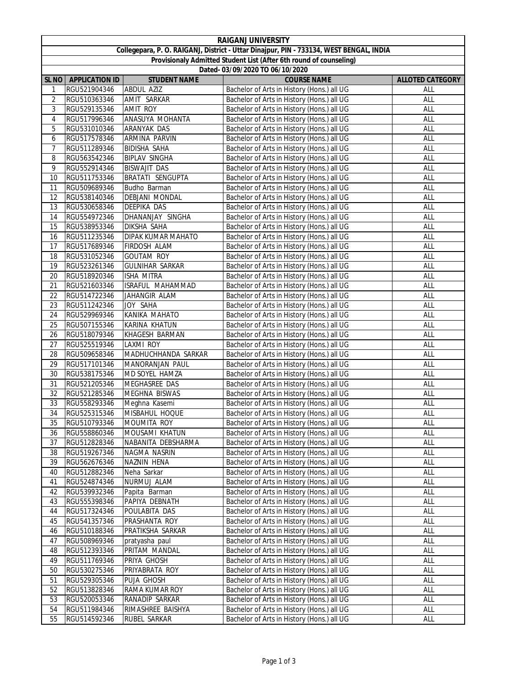| <b>RAIGANJ UNIVERSITY</b>                                                               |                                                                    |                                   |                                            |                         |  |  |  |  |  |
|-----------------------------------------------------------------------------------------|--------------------------------------------------------------------|-----------------------------------|--------------------------------------------|-------------------------|--|--|--|--|--|
| Collegepara, P. O. RAIGANJ, District - Uttar Dinajpur, PIN - 733134, WEST BENGAL, INDIA |                                                                    |                                   |                                            |                         |  |  |  |  |  |
|                                                                                         | Provisionaly Admitted Student List (After 6th round of counseling) |                                   |                                            |                         |  |  |  |  |  |
|                                                                                         | Dated- 03/09/2020 TO 06/10/2020                                    |                                   |                                            |                         |  |  |  |  |  |
| SL <sub>NO</sub>                                                                        | <b>APPLICATION ID</b>                                              | <b>STUDENT NAME</b>               | <b>COURSE NAME</b>                         | <b>ALLOTED CATEGORY</b> |  |  |  |  |  |
| 1                                                                                       | RGU521904346                                                       | <b>ABDUL AZIZ</b>                 | Bachelor of Arts in History (Hons.) all UG | ALL                     |  |  |  |  |  |
| 2                                                                                       | RGU510363346                                                       | AMIT SARKAR                       | Bachelor of Arts in History (Hons.) all UG | ALL                     |  |  |  |  |  |
| $\overline{3}$                                                                          | RGU529135346                                                       | <b>AMIT ROY</b>                   | Bachelor of Arts in History (Hons.) all UG | ALL                     |  |  |  |  |  |
| 4                                                                                       | RGU517996346                                                       | ANASUYA MOHANTA                   | Bachelor of Arts in History (Hons.) all UG | ALL                     |  |  |  |  |  |
| 5                                                                                       |                                                                    | ARANYAK DAS                       | Bachelor of Arts in History (Hons.) all UG | ALL                     |  |  |  |  |  |
| 6                                                                                       | RGU531010346                                                       | ARMINA PARVIN                     |                                            | ALL                     |  |  |  |  |  |
|                                                                                         | RGU517578346                                                       |                                   | Bachelor of Arts in History (Hons.) all UG |                         |  |  |  |  |  |
| 7                                                                                       | RGU511289346                                                       | <b>BIDISHA SAHA</b>               | Bachelor of Arts in History (Hons.) all UG | ALL                     |  |  |  |  |  |
| 8                                                                                       | RGU563542346                                                       | <b>BIPLAV SINGHA</b>              | Bachelor of Arts in History (Hons.) all UG | ALL                     |  |  |  |  |  |
| 9                                                                                       | RGU552914346                                                       | <b>BISWAJIT DAS</b>               | Bachelor of Arts in History (Hons.) all UG | ALL                     |  |  |  |  |  |
| 10                                                                                      | RGU511753346                                                       | BRATATI SENGUPTA                  | Bachelor of Arts in History (Hons.) all UG | ALL                     |  |  |  |  |  |
| 11                                                                                      | RGU509689346                                                       | Budho Barman                      | Bachelor of Arts in History (Hons.) all UG | <b>ALL</b>              |  |  |  |  |  |
| 12                                                                                      | RGU538140346                                                       | <b>DEBJANI MONDAL</b>             | Bachelor of Arts in History (Hons.) all UG | ALL                     |  |  |  |  |  |
| 13                                                                                      | RGU530658346                                                       | <b>DEEPIKA DAS</b>                | Bachelor of Arts in History (Hons.) all UG | ALL                     |  |  |  |  |  |
| 14                                                                                      | RGU554972346                                                       | DHANANJAY SINGHA                  | Bachelor of Arts in History (Hons.) all UG | ALL                     |  |  |  |  |  |
| 15                                                                                      | RGU538953346                                                       | DIKSHA SAHA                       | Bachelor of Arts in History (Hons.) all UG | <b>ALL</b>              |  |  |  |  |  |
| 16                                                                                      | RGU511235346                                                       | DIPAK KUMAR MAHATO                | Bachelor of Arts in History (Hons.) all UG | ALL                     |  |  |  |  |  |
| 17                                                                                      | RGU517689346                                                       | FIRDOSH ALAM                      | Bachelor of Arts in History (Hons.) all UG | ALL                     |  |  |  |  |  |
| 18                                                                                      | RGU531052346                                                       | <b>GOUTAM ROY</b>                 | Bachelor of Arts in History (Hons.) all UG | ALL                     |  |  |  |  |  |
| 19                                                                                      | RGU523261346                                                       | <b>GULNIHAR SARKAR</b>            | Bachelor of Arts in History (Hons.) all UG | ALL                     |  |  |  |  |  |
| 20                                                                                      | RGU518920346                                                       | ISHA MITRA                        | Bachelor of Arts in History (Hons.) all UG | ALL                     |  |  |  |  |  |
| 21                                                                                      | RGU521603346                                                       | ISRAFUL MAHAMMAD                  | Bachelor of Arts in History (Hons.) all UG | ALL                     |  |  |  |  |  |
| 22                                                                                      | RGU514722346                                                       | JAHANGIR ALAM                     | Bachelor of Arts in History (Hons.) all UG | <b>ALL</b>              |  |  |  |  |  |
| 23                                                                                      | RGU511242346                                                       | JOY SAHA                          | Bachelor of Arts in History (Hons.) all UG | ALL                     |  |  |  |  |  |
| 24                                                                                      | RGU529969346                                                       | KANIKA MAHATO                     | Bachelor of Arts in History (Hons.) all UG | ALL                     |  |  |  |  |  |
| 25                                                                                      | RGU507155346                                                       | KARINA KHATUN                     | Bachelor of Arts in History (Hons.) all UG | ALL                     |  |  |  |  |  |
| 26                                                                                      | RGU518079346                                                       | KHAGESH BARMAN                    | Bachelor of Arts in History (Hons.) all UG | ALL                     |  |  |  |  |  |
| 27                                                                                      | RGU525519346                                                       | LAXMI ROY                         | Bachelor of Arts in History (Hons.) all UG | ALL                     |  |  |  |  |  |
| 28                                                                                      | RGU509658346                                                       | MADHUCHHANDA SARKAR               | Bachelor of Arts in History (Hons.) all UG | ALL                     |  |  |  |  |  |
| 29                                                                                      | RGU517101346                                                       | MANORANJAN PAUL                   | Bachelor of Arts in History (Hons.) all UG | ALL                     |  |  |  |  |  |
| 30                                                                                      | RGU538175346                                                       | MD SOYEL HAMZA                    | Bachelor of Arts in History (Hons.) all UG | ALL                     |  |  |  |  |  |
| 31                                                                                      | RGU521205346                                                       | MEGHASREE DAS                     | Bachelor of Arts in History (Hons.) all UG | <b>ALL</b>              |  |  |  |  |  |
| 32                                                                                      | RGU521285346                                                       | MEGHNA BISWAS                     | Bachelor of Arts in History (Hons.) all UG | ALL                     |  |  |  |  |  |
| 33                                                                                      | RGU558293346                                                       | Meghna Kasemi                     | Bachelor of Arts in History (Hons.) all UG | <b>ALL</b>              |  |  |  |  |  |
| 34                                                                                      | RGU525315346                                                       | MISBAHUL HOQUE                    | Bachelor of Arts in History (Hons.) all UG | ALL                     |  |  |  |  |  |
| $\overline{35}$                                                                         | RGU510793346                                                       | MOUMITA ROY                       | Bachelor of Arts in History (Hons.) all UG | ALL                     |  |  |  |  |  |
| 36                                                                                      | RGU558860346                                                       | MOUSAMI KHATUN                    | Bachelor of Arts in History (Hons.) all UG | ALL                     |  |  |  |  |  |
| 37                                                                                      | RGU512828346                                                       | NABANITA DEBSHARMA                | Bachelor of Arts in History (Hons.) all UG | ALL                     |  |  |  |  |  |
| 38                                                                                      | RGU519267346                                                       | NAGMA NASRIN                      | Bachelor of Arts in History (Hons.) all UG | all                     |  |  |  |  |  |
| 39                                                                                      | RGU562676346                                                       | NAZNIN HENA                       | Bachelor of Arts in History (Hons.) all UG | ALL                     |  |  |  |  |  |
| 40                                                                                      | RGU512882346                                                       | Neha Sarkar                       | Bachelor of Arts in History (Hons.) all UG | ALL                     |  |  |  |  |  |
| 41                                                                                      | RGU524874346                                                       | NURMUJ ALAM                       | Bachelor of Arts in History (Hons.) all UG | ALL                     |  |  |  |  |  |
| 42                                                                                      | RGU539932346                                                       | Papita Barman                     | Bachelor of Arts in History (Hons.) all UG | ALL                     |  |  |  |  |  |
| 43                                                                                      | RGU555398346                                                       | PAPIYA DEBNATH                    | Bachelor of Arts in History (Hons.) all UG | ALL                     |  |  |  |  |  |
| 44                                                                                      | RGU517324346                                                       | POULABITA DAS                     | Bachelor of Arts in History (Hons.) all UG | ALL                     |  |  |  |  |  |
| 45                                                                                      |                                                                    |                                   | Bachelor of Arts in History (Hons.) all UG | ALL                     |  |  |  |  |  |
|                                                                                         | RGU541357346                                                       | PRASHANTA ROY<br>PRATIKSHA SARKAR | Bachelor of Arts in History (Hons.) all UG |                         |  |  |  |  |  |
| 46                                                                                      | RGU510188346                                                       |                                   |                                            | ALL                     |  |  |  |  |  |
| 47                                                                                      | RGU508969346                                                       | pratyasha paul                    | Bachelor of Arts in History (Hons.) all UG | ALL                     |  |  |  |  |  |
| 48                                                                                      | RGU512393346                                                       | PRITAM MANDAL                     | Bachelor of Arts in History (Hons.) all UG | ALL                     |  |  |  |  |  |
| 49                                                                                      | RGU511769346                                                       | PRIYA GHOSH                       | Bachelor of Arts in History (Hons.) all UG | ALL                     |  |  |  |  |  |
| 50                                                                                      | RGU530275346                                                       | PRIYABRATA ROY                    | Bachelor of Arts in History (Hons.) all UG | ALL                     |  |  |  |  |  |
| 51                                                                                      | RGU529305346                                                       | PUJA GHOSH                        | Bachelor of Arts in History (Hons.) all UG | all                     |  |  |  |  |  |
| 52                                                                                      | RGU513828346                                                       | RAMA KUMAR ROY                    | Bachelor of Arts in History (Hons.) all UG | ALL                     |  |  |  |  |  |
| 53                                                                                      | RGU520053346                                                       | RANADIP SARKAR                    | Bachelor of Arts in History (Hons.) all UG | ALL                     |  |  |  |  |  |
| 54                                                                                      | RGU511984346                                                       | RIMASHREE BAISHYA                 | Bachelor of Arts in History (Hons.) all UG | ALL                     |  |  |  |  |  |
| 55                                                                                      | RGU514592346                                                       | RUBEL SARKAR                      | Bachelor of Arts in History (Hons.) all UG | ALL                     |  |  |  |  |  |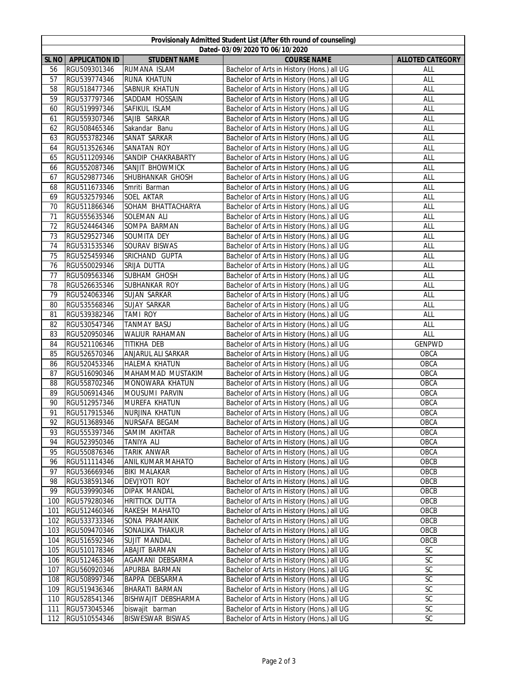|                                 |                              |                                   | Provisionaly Admitted Student List (After 6th round of counseling)                       |                         |  |  |  |
|---------------------------------|------------------------------|-----------------------------------|------------------------------------------------------------------------------------------|-------------------------|--|--|--|
| Dated- 03/09/2020 TO 06/10/2020 |                              |                                   |                                                                                          |                         |  |  |  |
| SL <sub>NO</sub>                | <b>APPLICATION ID</b>        | <b>STUDENT NAME</b>               | <b>COURSE NAME</b>                                                                       | <b>ALLOTED CATEGORY</b> |  |  |  |
| 56                              | RGU509301346                 | RUMANA ISLAM                      | Bachelor of Arts in History (Hons.) all UG                                               | ALL                     |  |  |  |
| 57                              | RGU539774346                 | <b>RUNA KHATUN</b>                | Bachelor of Arts in History (Hons.) all UG                                               | ALL                     |  |  |  |
| 58                              | RGU518477346                 | SABNUR KHATUN                     | Bachelor of Arts in History (Hons.) all UG                                               | ALL                     |  |  |  |
| 59                              | RGU537797346                 | SADDAM HOSSAIN                    | Bachelor of Arts in History (Hons.) all UG                                               | ALL                     |  |  |  |
| 60                              | RGU519997346                 | SAFIKUL ISLAM                     | Bachelor of Arts in History (Hons.) all UG                                               | ALL                     |  |  |  |
| 61                              | RGU559307346                 | SAJIB SARKAR                      | Bachelor of Arts in History (Hons.) all UG                                               | ALL                     |  |  |  |
| 62                              | RGU508465346                 | Sakandar Banu                     | Bachelor of Arts in History (Hons.) all UG                                               | ALL                     |  |  |  |
| 63                              | RGU553782346                 | SANAT SARKAR                      | Bachelor of Arts in History (Hons.) all UG                                               | ALL                     |  |  |  |
|                                 |                              |                                   |                                                                                          | ALL                     |  |  |  |
| 64                              | RGU513526346                 | SANATAN ROY<br>SANDIP CHAKRABARTY | Bachelor of Arts in History (Hons.) all UG                                               |                         |  |  |  |
| 65                              | RGU511209346                 |                                   | Bachelor of Arts in History (Hons.) all UG                                               | ALL                     |  |  |  |
| 66                              | RGU552087346                 | SANJIT BHOWMICK                   | Bachelor of Arts in History (Hons.) all UG                                               | ALL                     |  |  |  |
| 67                              | RGU529877346                 | SHUBHANKAR GHOSH                  | Bachelor of Arts in History (Hons.) all UG                                               | ALL                     |  |  |  |
| 68                              | RGU511673346                 | Smriti Barman                     | Bachelor of Arts in History (Hons.) all UG                                               | ALL                     |  |  |  |
| 69                              | RGU532579346                 | SOEL AKTAR                        | Bachelor of Arts in History (Hons.) all UG                                               | ALL                     |  |  |  |
| 70                              | RGU511866346                 | SOHAM BHATTACHARYA                | Bachelor of Arts in History (Hons.) all UG                                               | ALL                     |  |  |  |
| 71                              | RGU555635346                 | SOLEMAN ALI                       | Bachelor of Arts in History (Hons.) all UG                                               | ALL                     |  |  |  |
| 72                              | RGU524464346                 | SOMPA BARMAN                      | Bachelor of Arts in History (Hons.) all UG                                               | ALL                     |  |  |  |
| 73                              | RGU529527346                 | SOUMITA DEY                       | Bachelor of Arts in History (Hons.) all UG                                               | ALL                     |  |  |  |
| 74                              | RGU531535346                 | SOURAV BISWAS                     | Bachelor of Arts in History (Hons.) all UG                                               | ALL                     |  |  |  |
| 75                              | RGU525459346                 | SRICHAND GUPTA                    | Bachelor of Arts in History (Hons.) all UG                                               | ALL                     |  |  |  |
| 76                              | RGU550029346                 | SRIJA DUTTA                       | Bachelor of Arts in History (Hons.) all UG                                               | ALL                     |  |  |  |
| 77                              | RGU509563346                 | SUBHAM GHOSH                      | Bachelor of Arts in History (Hons.) all UG                                               | ALL                     |  |  |  |
| 78                              | RGU526635346                 | SUBHANKAR ROY                     | Bachelor of Arts in History (Hons.) all UG                                               | ALL                     |  |  |  |
| 79                              | RGU524063346                 | SUJAN SARKAR                      | Bachelor of Arts in History (Hons.) all UG                                               | ALL                     |  |  |  |
| 80                              | RGU535568346                 | SUJAY SARKAR                      | Bachelor of Arts in History (Hons.) all UG                                               | ALL                     |  |  |  |
| 81                              | RGU539382346                 | <b>TAMI ROY</b>                   | Bachelor of Arts in History (Hons.) all UG                                               | ALL                     |  |  |  |
| 82                              | RGU530547346                 | <b>TANMAY BASU</b>                | Bachelor of Arts in History (Hons.) all UG                                               | ALL                     |  |  |  |
| 83                              | RGU520950346                 | WALIUR RAHAMAN                    | Bachelor of Arts in History (Hons.) all UG                                               | ALL                     |  |  |  |
| 84                              | RGU521106346                 | TITIKHA DEB                       | Bachelor of Arts in History (Hons.) all UG                                               | <b>GENPWD</b>           |  |  |  |
| 85                              | RGU526570346                 | ANJARUL ALI SARKAR                | Bachelor of Arts in History (Hons.) all UG                                               | OBCA                    |  |  |  |
| 86                              | RGU520453346                 | HALEMA KHATUN                     | Bachelor of Arts in History (Hons.) all UG                                               | OBCA                    |  |  |  |
| 87                              | RGU516090346                 | MAHAMMAD MUSTAKIM                 | Bachelor of Arts in History (Hons.) all UG                                               | OBCA                    |  |  |  |
| 88                              | RGU558702346                 | MONOWARA KHATUN                   | Bachelor of Arts in History (Hons.) all UG                                               | OBCA                    |  |  |  |
| 89                              | RGU506914346                 | MOUSUMI PARVIN                    | Bachelor of Arts in History (Hons.) all UG                                               | OBCA                    |  |  |  |
| 90                              | RGU512957346                 | MUREFA KHATUN                     | Bachelor of Arts in History (Hons.) all UG                                               | OBCA                    |  |  |  |
| 91                              | RGU517915346                 | NURJINA KHATUN                    | Bachelor of Arts in History (Hons.) all UG                                               | OBCA                    |  |  |  |
| 92                              | RGU513689346                 | NURSAFA BEGAM                     | Bachelor of Arts in History (Hons.) all UG                                               | OBCA                    |  |  |  |
| 93                              | RGU555397346                 | SAMIM AKHTAR                      | Bachelor of Arts in History (Hons.) all UG                                               | OBCA                    |  |  |  |
| 94                              | RGU523950346                 | TANIYA ALI                        | Bachelor of Arts in History (Hons.) all UG                                               | <b>OBCA</b>             |  |  |  |
| 95                              | RGU550876346                 | TARIK ANWAR                       | Bachelor of Arts in History (Hons.) all UG                                               | OBCA                    |  |  |  |
| 96                              | RGU511114346                 | ANIL KUMAR MAHATO                 | Bachelor of Arts in History (Hons.) all UG                                               | OBCB                    |  |  |  |
| 97                              |                              |                                   |                                                                                          |                         |  |  |  |
| 98                              | RGU536669346<br>RGU538591346 | BIKI MALAKAR<br>DEVJYOTI ROY      | Bachelor of Arts in History (Hons.) all UG<br>Bachelor of Arts in History (Hons.) all UG | OBCB<br>OBCB            |  |  |  |
|                                 |                              |                                   |                                                                                          |                         |  |  |  |
| 99                              | RGU539990346                 | DIPAK MANDAL                      | Bachelor of Arts in History (Hons.) all UG                                               | OBCB                    |  |  |  |
| 100                             | RGU579280346                 | <b>HRITTICK DUTTA</b>             | Bachelor of Arts in History (Hons.) all UG                                               | OBCB                    |  |  |  |
| 101                             | RGU512460346                 | RAKESH MAHATO                     | Bachelor of Arts in History (Hons.) all UG                                               | OBCB                    |  |  |  |
| 102                             | RGU533733346                 | SONA PRAMANIK                     | Bachelor of Arts in History (Hons.) all UG                                               | OBCB                    |  |  |  |
| 103                             | RGU509470346                 | SONALIKA THAKUR                   | Bachelor of Arts in History (Hons.) all UG                                               | OBCB                    |  |  |  |
| 104                             | RGU516592346                 | SUJIT MANDAL                      | Bachelor of Arts in History (Hons.) all UG                                               | OBCB                    |  |  |  |
| 105                             | RGU510178346                 | ABAJIT BARMAN                     | Bachelor of Arts in History (Hons.) all UG                                               | $\mathsf{SC}$           |  |  |  |
| 106                             | RGU512463346                 | AGAMANI DEBSARMA                  | Bachelor of Arts in History (Hons.) all UG                                               | SC                      |  |  |  |
| 107                             | RGU560920346                 | APURBA BARMAN                     | Bachelor of Arts in History (Hons.) all UG                                               | SC                      |  |  |  |
| 108                             | RGU508997346                 | BAPPA DEBSARMA                    | Bachelor of Arts in History (Hons.) all UG                                               | SC                      |  |  |  |
| 109                             | RGU519436346                 | BHARATI BARMAN                    | Bachelor of Arts in History (Hons.) all UG                                               | SC                      |  |  |  |
| 110                             | RGU528541346                 | BISHWAJIT DEBSHARMA               | Bachelor of Arts in History (Hons.) all UG                                               | SC                      |  |  |  |
| 111                             | RGU573045346                 | biswajit barman                   | Bachelor of Arts in History (Hons.) all UG                                               | $\mathsf{SC}$           |  |  |  |
| 112                             | RGU510554346                 | <b>BISWESWAR BISWAS</b>           | Bachelor of Arts in History (Hons.) all UG                                               | $\mathsf{SC}$           |  |  |  |